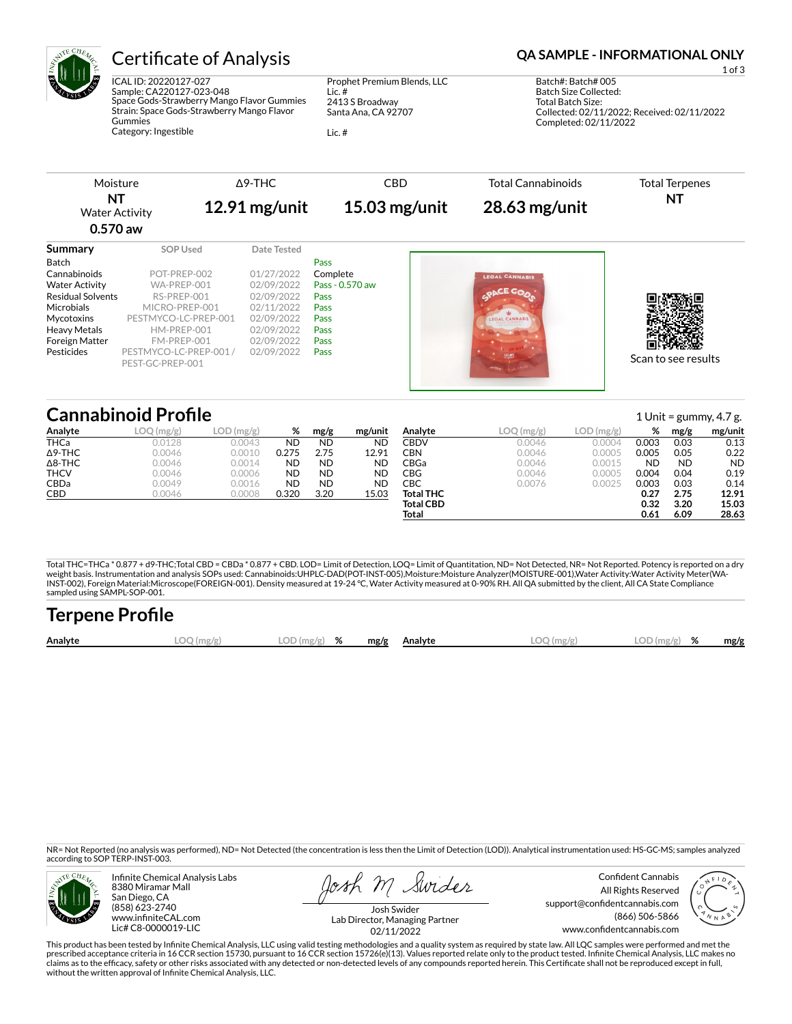

# Certificate of Analysis **Certificate of Analysis QA SAMPLE - INFORMATIONAL ONLY**

ICAL ID: 20220127-027 Sample: CA220127-023-048 Space Gods-Strawberry Mango Flavor Gummies Strain: Space Gods-Strawberry Mango Flavor Gummies Category: Ingestible

Prophet Premium Blends, LLC Lic. # 2413 S Broadway Santa Ana, CA 92707

Lic. #

1 of 3 Batch#: Batch# 005 Batch Size Collected: Total Batch Size: Collected: 02/11/2022; Received: 02/11/2022 Completed: 02/11/2022

| Moisture                                  |          | A9-THC          | <b>CBD</b>      | Total Cannabinoids | <b>Total Terpenes</b> |
|-------------------------------------------|----------|-----------------|-----------------|--------------------|-----------------------|
| ΝT<br><b>Water Activity</b><br>$0.570$ aw |          | $12.91$ mg/unit | $15.03$ mg/unit | $28.63$ mg/unit    | NT                    |
| Summary                                   | SOP Used | Date Tested     |                 |                    |                       |

| Scan to see results |
|---------------------|
|                     |
|                     |

# **Cannabinoid Profile** 1 Unit = gummy, 4.7 g.

|                |                                                  |               |           |           |           |                  |                                            |                          |           | ີ         | ັ         |
|----------------|--------------------------------------------------|---------------|-----------|-----------|-----------|------------------|--------------------------------------------|--------------------------|-----------|-----------|-----------|
| Analyte        | LOO<br>$\left(\frac{\text{mg}}{\text{g}}\right)$ | LOD<br>(mg/g) | %         | mg/g      | mg/unit   | Analvte          | $LOQ$ (mg/g <sup><math>\prime</math></sup> | $LOD$ (mg/g <sup>)</sup> | %         | mg/g      | mg/unit   |
| <b>THCa</b>    | 0.0128                                           | 0.0043        | ND        | <b>ND</b> | <b>ND</b> | <b>CBDV</b>      | 0.0046                                     | 0.0004                   | 0.003     | 0.03      | 0.13      |
| $\Delta$ 9-THC | 0.0046                                           | 0.0010        | 0.275     | 2.75      | 12.91     | CBN              | 0.0046                                     | 0.0005                   | 0.005     | 0.05      | 0.22      |
| $\Delta$ 8-THC | 0.0046                                           | 0.0014        | <b>ND</b> | <b>ND</b> | ND        | CBGa             | 0.0046                                     | 0.0015                   | <b>ND</b> | <b>ND</b> | <b>ND</b> |
| <b>THCV</b>    | 0.0046                                           | 0.0006        | <b>ND</b> | <b>ND</b> | <b>ND</b> | CBG              | 0.0046                                     | 0.0005                   | 0.004     | 0.04      | 0.19      |
| CBDa           | 0.0049                                           | 0.0016        | <b>ND</b> | <b>ND</b> | <b>ND</b> | СВС              | 0.0076                                     | 0.0025                   | 0.003     | 0.03      | 0.14      |
| CBD            | 0.0046                                           | 0.0008        | 0.320     | 3.20      | 15.03     | <b>Total THC</b> |                                            |                          | 0.27      | 2.75      | 12.91     |
|                |                                                  |               |           |           |           | <b>Total CBD</b> |                                            |                          | 0.32      | 3.20      | 15.03     |
|                |                                                  |               |           |           |           | <b>Total</b>     |                                            |                          | 0.61      | 6.09      | 28.63     |

Total THC=THCa \* 0.877 + d9-THC;Total CBD = CBDa \* 0.877 + CBD. LOD= Limit of Detection, LOQ= Limit of Quantitation, ND= Not Detected, NR= Not Reported. Potency is reported on a dry<br>weight basis. Instrumentation and analys INST-002), Foreign Material:Microscope(FOREIGN-001). Density measured at 19-24 °C, Water Activity measured at 0-90% RH. All QA submitted by the client, All CA State Compliance sampled using SAMPL-SOP-001.

| <b>Terpene Profile</b> |            |               |  |              |              |               |      |
|------------------------|------------|---------------|--|--------------|--------------|---------------|------|
| Analyte                | LOO (mg/g) | $LOD(mg/g)$ % |  | mg/g Analyte | $LOO$ (mg/g) | $LOD(mg/g)$ % | mg/g |

NR= Not Reported (no analysis was performed), ND= Not Detected (the concentration is less then the Limit of Detection (LOD)). Analytical instrumentation used: HS-GC-MS; samples analyzed according to SOP TERP-INST-003.



Infinite Chemical Analysis Labs 8380 Miramar Mall San Diego, CA (858) 623-2740 www.infiniteCAL.com Lic# C8-0000019-LIC

Swider

Confident Cannabis All Rights Reserved support@confidentcannabis.com (866) 506-5866 www.confidentcannabis.com



Josh Swider Lab Director, Managing Partner 02/11/2022

This product has been tested by Infinite Chemical Analysis, LLC using valid testing methodologies and a quality system as required by state law. All LQC samples were performed and met the prescribed acceptance criteria in 16 CCR section 15730, pursuant to 16 CCR section 15726(e)(13). Values reported relate only to the product tested. Infinite Chemical Analysis, LLC makes no<br>claims as to the efficacy, safety without the written approval of Infinite Chemical Analysis, LLC.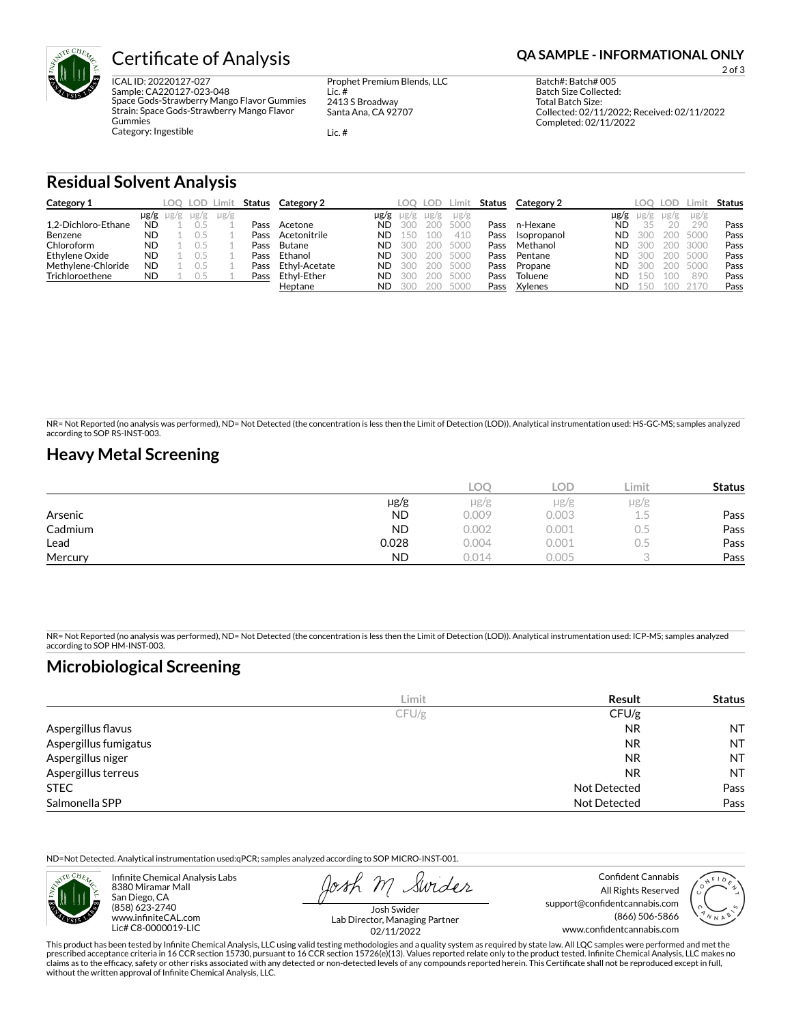

# **Certificate of Analysis <b>Certificate of Analysis QA SAMPLE - INFORMATIONAL ONLY**

ICAL ID: 20220127-027 Sample: CA220127-023-048 Space Gods-Strawberry Mango Flavor Gummies Strain: Space Gods-Strawberry Mango Flavor Gummies Category: Ingestible

Prophet Premium Blends, LLC Lic. # 2413 S Broadway Santa Ana, CA 92707

Lic. #

2 of 3

Batch Size Collected: Total Batch Size: Collected: 02/11/2022; Received: 02/11/2022 Completed: 02/11/2022

Batch#: Batch# 005

### **Residual Solvent Analysis**

| Category 1          |           | LOO.                | LOD -     | ∟imi†     | Status | Category 2    |           | LOO.      | LOD.      | Limit     | Status | Category 2  |      | LOO.      | LOD.      | .imi:     | <b>Status</b> |
|---------------------|-----------|---------------------|-----------|-----------|--------|---------------|-----------|-----------|-----------|-----------|--------|-------------|------|-----------|-----------|-----------|---------------|
|                     |           | $\mu$ g/g $\mu$ g/g | $\mu$ g/g | $\mu$ g/g |        |               | $\mu$ g/g | $\mu$ g/g | $\mu$ g/g | $\mu$ g/g |        |             | µg/g | $\mu$ g/g | $\mu$ g/g | $\mu$ g/g |               |
| 1.2-Dichloro-Ethane | <b>ND</b> |                     |           |           | Pass   | Acetone       | ND.       | 300       | 200       | 5000      | Pass   | n-Hexane    | ND   |           |           | 290       | Pass          |
| Benzene             | <b>ND</b> |                     |           |           | Pass   | Acetonitrile  | ND.       |           | 100       | 410       | Pass   | Isopropanol | ND.  | 300       | 200       | 5000      | Pass          |
| Chloroform          | <b>ND</b> |                     |           |           | Pass   | Butane        | <b>ND</b> | 300       | 200       | 5000      | Pass   | Methanol    | ND   | 300       | 200       | 3000      | Pass          |
| Ethylene Oxide      | <b>ND</b> |                     |           |           | Pass   | Ethanol       | ND.       | 30C       | 200       | 5000      | Pass   | Pentane     | ND   | 300       | 200       | 5000      | Pass          |
| Methylene-Chloride  | <b>ND</b> |                     |           |           | Pass   | Ethvl-Acetate | <b>ND</b> |           | 200       | 5000      | Pass   | Propane     | ND   | 300       |           | 5000      | Pass          |
| Trichloroethene     | <b>ND</b> |                     |           |           | Pass   | Ethvl-Ether   | <b>ND</b> | 300       | 200       | 500C      | Pass   | Toluene     | ND   | 50        |           | 890       | Pass          |
|                     |           |                     |           |           |        | Heptane       | <b>ND</b> |           | 200       | 5000      | Pass   | Xylenes     | ND   | 15C       |           |           | Pass          |

NR= Not Reported (no analysis was performed), ND= Not Detected (the concentration is less then the Limit of Detection (LOD)). Analytical instrumentation used: HS-GC-MS; samples analyzed according to SOP RS-INST-003.

### **Heavy Metal Screening**

|         |           | COC   | LOD   | ∟imit         | <b>Status</b> |
|---------|-----------|-------|-------|---------------|---------------|
|         | $\mu$ g/g | µg/g  | µg/g  | $\mu$ g/g     |               |
| Arsenic | <b>ND</b> | 0.009 | 0.003 | ر ب           | Pass          |
| Cadmium | <b>ND</b> | 0.002 | 0.001 | $\sim$<br>U.5 | Pass          |
| Lead    | 0.028     | 0.004 | 0.001 | U.5           | Pass          |
| Mercury | <b>ND</b> | 0.014 | 0.005 |               | Pass          |

NR= Not Reported (no analysis was performed), ND= Not Detected (the concentration is less then the Limit of Detection (LOD)). Analytical instrumentation used: ICP-MS; samples analyzed according to SOP HM-INST-003.

## **Microbiological Screening**

|                       | Limit | Result              | <b>Status</b> |
|-----------------------|-------|---------------------|---------------|
|                       | CFU/g | CFU/g               |               |
| Aspergillus flavus    |       | <b>NR</b>           | <b>NT</b>     |
| Aspergillus fumigatus |       | <b>NR</b>           | <b>NT</b>     |
| Aspergillus niger     |       | <b>NR</b>           | <b>NT</b>     |
| Aspergillus terreus   |       | <b>NR</b>           | NT.           |
| <b>STEC</b>           |       | Not Detected        | Pass          |
| Salmonella SPP        |       | <b>Not Detected</b> | Pass          |

ND=Not Detected. Analytical instrumentation used:qPCR; samples analyzed according to SOP MICRO-INST-001.



Infinite Chemical Analysis Labs 8380 Miramar Mall San Diego, CA (858) 623-2740 www.infiniteCAL.com Lic# C8-0000019-LIC

Swider

All Rights Reserved support@confidentcannabis.com (866) 506-5866 www.confidentcannabis.com



Josh Swider Lab Director, Managing Partner 02/11/2022

This product has been tested by Infinite Chemical Analysis, LLC using valid testing methodologies and a quality system as required by state law. All LQC samples were performed and met the prescribed acceptance criteria in 16 CCR section 15730, pursuant to 16 CCR section 15726(e)(13). Values reported relate only to the product tested. Infinite Chemical Analysis, LLC makes no<br>claims as to the efficacy, safety without the written approval of Infinite Chemical Analysis, LLC.